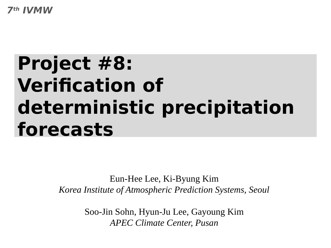**7th IVMW**

# **Project #8: Verification of deterministic precipitation forecasts**

Eun-Hee Lee, Ki-Byung Kim *Korea Institute of Atmospheric Prediction Systems, Seoul*

> Soo-Jin Sohn, Hyun-Ju Lee, Gayoung Kim *APEC Climate Center, Pusan*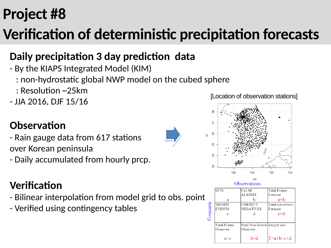## **Project #8**

## **Verification of deterministic precipitation forecasts**

#### **Daily precipitation 3 day prediction data**

- By the KIAPS Integrated Model (KIM)
	- : non-hydrostatic global NWP model on the cubed sphere
	- : Resolution ~25km
- JJA 2016, DJF 15/16

#### **Observation**

- Rain gauge data from 617 stations over Korean peninsula
- Daily accumulated from hourly prcp.

#### **Verification**

- Bilinear interpolation from model grid to obs. point
- Verified using contingency tables

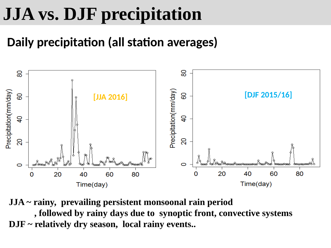# **JJA vs. DJF precipitation**

#### **Daily precipitation (all station averages)**



**JJA ~ rainy, prevailing persistent monsoonal rain period** 

 **, followed by rainy days due to synoptic front, convective systems DJF ~ relatively dry season, local rainy events..**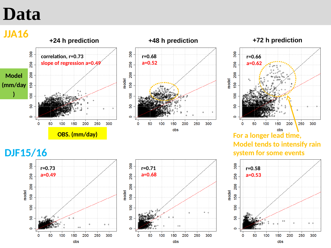#### **Data**

**Model**

**)**

**(mm/day**

**JJA16**  $300$ 

250

200

 $\overline{6}$ 

S.

 $\circ$ 

 $\mathbf 0$ 

50







**DJF15/16**



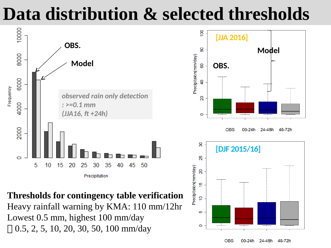## **Data distribution & selected thresholds**



**Thresholds for contingency table verification**

Heavy rainfall warning by KMA: 110 mm/12hr Lowest 0.5 mm, highest 100 mm/day  $\Box$  0.5, 2, 5, 10, 20, 30, 50, 100 mm/day



00-24h

24-48h

48-72h

**OBS**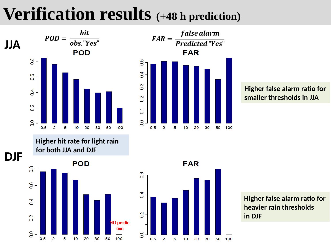## **Verification results (+48 h prediction)**





#### **Higher false alarm ratio for smaller thresholds in JJA**

**Higher hit rate for light rain for both JJA and DJF**





**Higher false alarm ratio for heavier rain thresholds in DJF**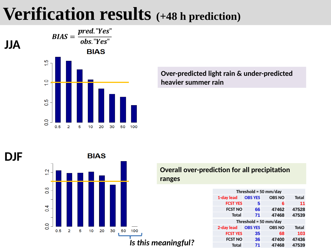### **Verification results (+48 h prediction)**



**Over-predicted light rain & under-predicted heavier summer rain**

**DJF**



#### **Overall over-prediction for all precipitation ranges**

| Threshold = $50$ mm/day |                |               |              |  |
|-------------------------|----------------|---------------|--------------|--|
| 1-day lead              | <b>OBS YES</b> | <b>OBS NO</b> | <b>Total</b> |  |
| <b>FCST YES</b>         | 5              | 6             | 11           |  |
| <b>FCST NO</b>          | 66             | 47462         | 47528        |  |
| <b>Total</b>            | 71             | 47468         | 47539        |  |
| Threshold = $50$ mm/day |                |               |              |  |
| 2-day lead              | <b>OBS YES</b> | <b>OBS NO</b> | <b>Total</b> |  |
| <b>FCST YES</b>         | 35             | 68            | 103          |  |
| <b>FCST NO</b>          | 36             | 47400         | 47436        |  |
| <b>Total</b>            | 71             | 47468         | 47539        |  |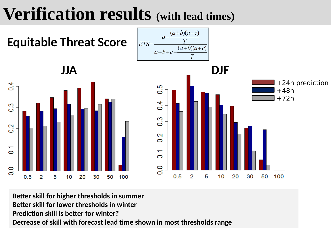## **Verification results (with lead times)**



**Better skill for higher thresholds in summer Better skill for lower thresholds in winter Prediction skill is better for winter? Decrease of skill with forecast lead time shown in most thresholds range**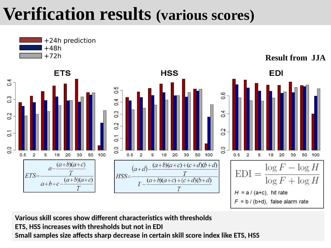## **Verification results (various scores)**



**Various skill scores show different characteristics with thresholds ETS, HSS increases with thresholds but not in EDI Small samples size affects sharp decrease in certain skill score index like ETS, HSS**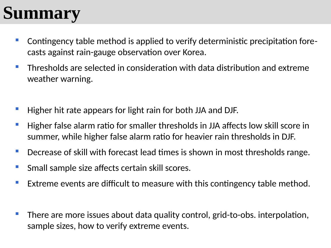## **Summary**

- Contingency table method is applied to verify deterministic precipitation forecasts against rain-gauge observation over Korea.
- **Thresholds are selected in consideration with data distribution and extreme** weather warning.
- Higher hit rate appears for light rain for both JJA and DJF.
- $\blacksquare$  Higher false alarm ratio for smaller thresholds in JJA affects low skill score in summer, while higher false alarm ratio for heavier rain thresholds in DJF.
- **Decrease of skill with forecast lead times is shown in most thresholds range.**
- **Small sample size affects certain skill scores.**
- **Extreme events are difficult to measure with this contingency table method.**
- There are more issues about data quality control, grid-to-obs. interpolation, sample sizes, how to verify extreme events.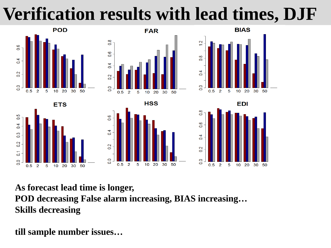# **Verification results with lead times, DJF**



**ETS** 

 $10, 20$ 

30 50

 $\overline{0.5}$ 

 $\overline{0}$ 

 $\overline{0}$ 

 $0.2$ 

 $\overline{c}$ 

 $\circ$ 

 $\mathcal{P}$ 5

 $0.5$ 









**As forecast lead time is longer, POD decreasing False alarm increasing, BIAS increasing… Skills decreasing**

**till sample number issues…**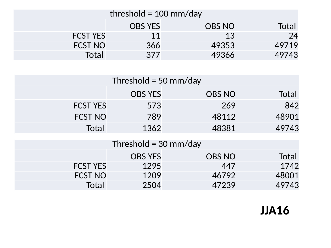| threshold = $100 \text{ mm/day}$ |                |               |       |
|----------------------------------|----------------|---------------|-------|
|                                  | <b>OBS YES</b> | <b>OBS NO</b> | Total |
| <b>FCST YES</b>                  | 11             | 13            | 24    |
| <b>FCST NO</b>                   | 366            | 49353         | 49719 |
| Total                            | 377            | 49366         | 49743 |

| Threshold = 50 mm/day   |                |               |       |  |
|-------------------------|----------------|---------------|-------|--|
|                         | <b>OBS YES</b> | <b>OBS NO</b> | Total |  |
| <b>FCST YES</b>         | 573            | 269           | 842   |  |
| <b>FCST NO</b>          | 789            | 48112         | 48901 |  |
| Total                   | 1362           | 48381         | 49743 |  |
| Threshold = $30$ mm/day |                |               |       |  |
|                         | <b>OBS YES</b> | <b>OBS NO</b> | Total |  |
| <b>FCST YES</b>         | 1295           | 447           | 1742  |  |
| <b>FCST NO</b>          | 1209           | 46792         | 48001 |  |
| Total                   | 2504           | 47239         | 49743 |  |